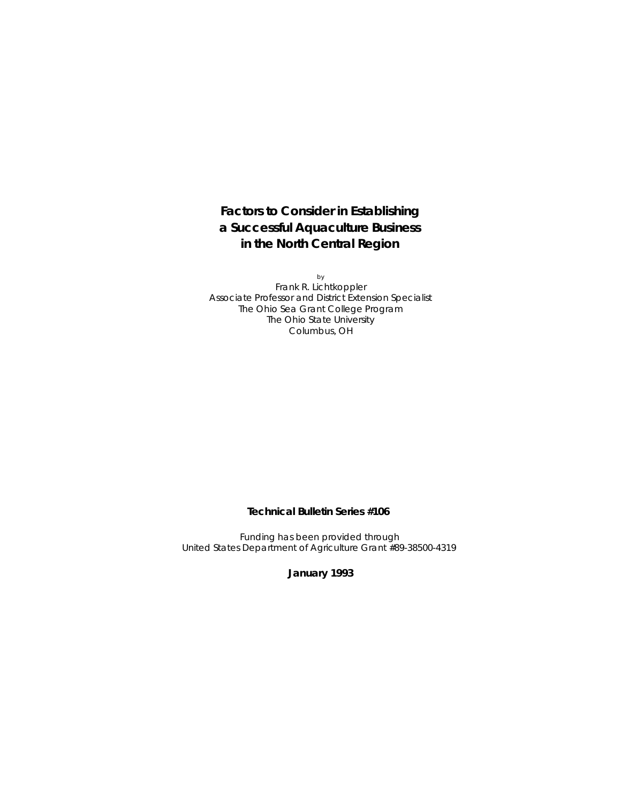**Factors to Consider in Establishing a Successful Aquaculture Business in the North Central Region**

by Frank R. Lichtkoppler Associate Professor and District Extension Specialist The Ohio Sea Grant College Program The Ohio State University Columbus, OH

**Technical Bulletin Series #106**

Funding has been provided through United States Department of Agriculture Grant #89-38500-4319

**January 1993**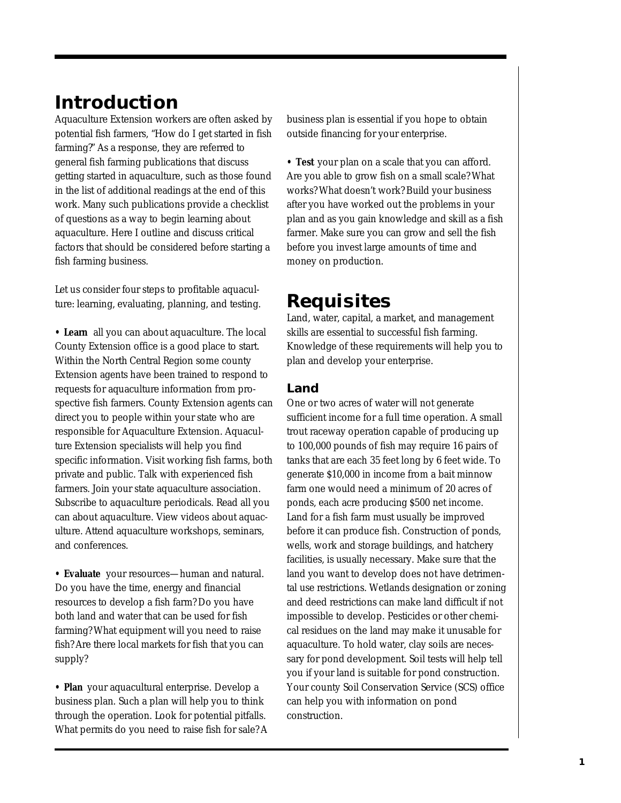# **Introduction**

Aquaculture Extension workers are often asked by potential fish farmers, "How do I get started in fish farming?" As a response, they are referred to general fish farming publications that discuss getting started in aquaculture, such as those found in the list of additional readings at the end of this work. Many such publications provide a checklist of questions as a way to begin learning about aquaculture. Here I outline and discuss critical factors that should be considered before starting a fish farming business.

Let us consider four steps to profitable aquaculture: learning, evaluating, planning, and testing.

**• Learn** all you can about aquaculture. The local County Extension office is a good place to start. Within the North Central Region some county Extension agents have been trained to respond to requests for aquaculture information from prospective fish farmers. County Extension agents can direct you to people within your state who are responsible for Aquaculture Extension. Aquaculture Extension specialists will help you find specific information. Visit working fish farms, both private and public. Talk with experienced fish farmers. Join your state aquaculture association. Subscribe to aquaculture periodicals. Read all you can about aquaculture. View videos about aquaculture. Attend aquaculture workshops, seminars, and conferences.

**• Evaluate** your resources—human and natural. Do you have the time, energy and financial resources to develop a fish farm? Do you have both land and water that can be used for fish farming? What equipment will you need to raise fish? Are there local markets for fish that you can supply?

**• Plan** your aquacultural enterprise. Develop a business plan. Such a plan will help you to think through the operation. Look for potential pitfalls. What permits do you need to raise fish for sale? A business plan is essential if you hope to obtain outside financing for your enterprise.

**• Test** your plan on a scale that you can afford. Are you able to grow fish on a small scale? What works? What doesn't work? Build your business after you have worked out the problems in your plan and as you gain knowledge and skill as a fish farmer. Make sure you can grow and sell the fish before you invest large amounts of time and money on production.

## **Requisites**

Land, water, capital, a market, and management skills are essential to successful fish farming. Knowledge of these requirements will help you to plan and develop your enterprise.

## **Land**

One or two acres of water will not generate sufficient income for a full time operation. A small trout raceway operation capable of producing up to 100,000 pounds of fish may require 16 pairs of tanks that are each 35 feet long by 6 feet wide. To generate \$10,000 in income from a bait minnow farm one would need a minimum of 20 acres of ponds, each acre producing \$500 net income. Land for a fish farm must usually be improved before it can produce fish. Construction of ponds, wells, work and storage buildings, and hatchery facilities, is usually necessary. Make sure that the land you want to develop does not have detrimental use restrictions. Wetlands designation or zoning and deed restrictions can make land difficult if not impossible to develop. Pesticides or other chemical residues on the land may make it unusable for aquaculture. To hold water, clay soils are necessary for pond development. Soil tests will help tell you if your land is suitable for pond construction. Your county Soil Conservation Service (SCS) office can help you with information on pond construction.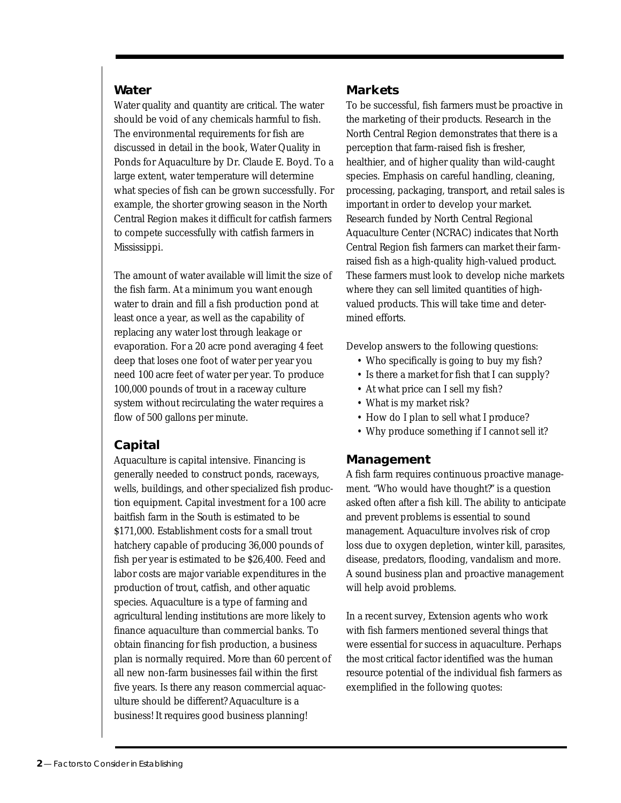#### **Water**

Water quality and quantity are critical. The water should be void of any chemicals harmful to fish. The environmental requirements for fish are discussed in detail in the book, Water Quality in Ponds for Aquaculture by Dr. Claude E. Boyd. To a large extent, water temperature will determine what species of fish can be grown successfully. For example, the shorter growing season in the North Central Region makes it difficult for catfish farmers to compete successfully with catfish farmers in Mississippi.

The amount of water available will limit the size of the fish farm. At a minimum you want enough water to drain and fill a fish production pond at least once a year, as well as the capability of replacing any water lost through leakage or evaporation. For a 20 acre pond averaging 4 feet deep that loses one foot of water per year you need 100 acre feet of water per year. To produce 100,000 pounds of trout in a raceway culture system without recirculating the water requires a flow of 500 gallons per minute.

## **Capital**

Aquaculture is capital intensive. Financing is generally needed to construct ponds, raceways, wells, buildings, and other specialized fish production equipment. Capital investment for a 100 acre baitfish farm in the South is estimated to be \$171,000. Establishment costs for a small trout hatchery capable of producing 36,000 pounds of fish per year is estimated to be \$26,400. Feed and labor costs are major variable expenditures in the production of trout, catfish, and other aquatic species. Aquaculture is a type of farming and agricultural lending institutions are more likely to finance aquaculture than commercial banks. To obtain financing for fish production, a business plan is normally required. More than 60 percent of all new non-farm businesses fail within the first five years. Is there any reason commercial aquaculture should be different? Aquaculture is a business! It requires good business planning!

## **Markets**

To be successful, fish farmers must be proactive in the marketing of their products. Research in the North Central Region demonstrates that there is a perception that farm-raised fish is fresher, healthier, and of higher quality than wild-caught species. Emphasis on careful handling, cleaning, processing, packaging, transport, and retail sales is important in order to develop your market. Research funded by North Central Regional Aquaculture Center (NCRAC) indicates that North Central Region fish farmers can market their farmraised fish as a high-quality high-valued product. These farmers must look to develop niche markets where they can sell limited quantities of highvalued products. This will take time and determined efforts.

Develop answers to the following questions:

- Who specifically is going to buy my fish?
- Is there a market for fish that I can supply?
- At what price can I sell my fish?
- What is my market risk?
- How do I plan to sell what I produce?
- Why produce something if I cannot sell it?

## **Management**

A fish farm requires continuous proactive management. "Who would have thought?" is a question asked often after a fish kill. The ability to anticipate and prevent problems is essential to sound management. Aquaculture involves risk of crop loss due to oxygen depletion, winter kill, parasites, disease, predators, flooding, vandalism and more. A sound business plan and proactive management will help avoid problems.

In a recent survey, Extension agents who work with fish farmers mentioned several things that were essential for success in aquaculture. Perhaps the most critical factor identified was the human resource potential of the individual fish farmers as exemplified in the following quotes: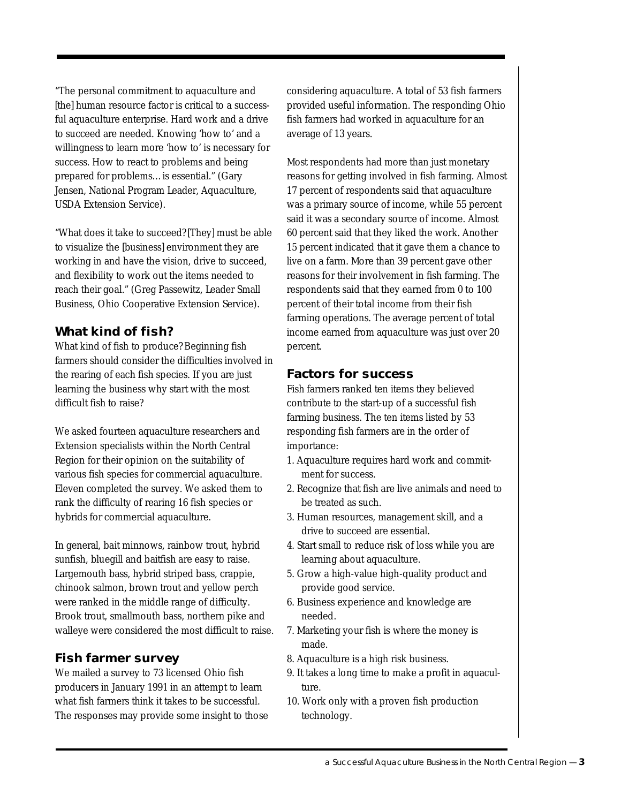"The personal commitment to aquaculture and [the] human resource factor is critical to a successful aquaculture enterprise. Hard work and a drive to succeed are needed. Knowing 'how to' and a willingness to learn more 'how to' is necessary for success. How to react to problems and being prepared for problems…is essential." (Gary Jensen, National Program Leader, Aquaculture, USDA Extension Service).

"What does it take to succeed? [They] must be able to visualize the [business] environment they are working in and have the vision, drive to succeed, and flexibility to work out the items needed to reach their goal." (Greg Passewitz, Leader Small Business, Ohio Cooperative Extension Service).

## **What kind of fish?**

What kind of fish to produce? Beginning fish farmers should consider the difficulties involved in the rearing of each fish species. If you are just learning the business why start with the most difficult fish to raise?

We asked fourteen aquaculture researchers and Extension specialists within the North Central Region for their opinion on the suitability of various fish species for commercial aquaculture. Eleven completed the survey. We asked them to rank the difficulty of rearing 16 fish species or hybrids for commercial aquaculture.

In general, bait minnows, rainbow trout, hybrid sunfish, bluegill and baitfish are easy to raise. Largemouth bass, hybrid striped bass, crappie, chinook salmon, brown trout and yellow perch were ranked in the middle range of difficulty. Brook trout, smallmouth bass, northern pike and walleye were considered the most difficult to raise.

## **Fish farmer survey**

We mailed a survey to 73 licensed Ohio fish producers in January 1991 in an attempt to learn what fish farmers think it takes to be successful. The responses may provide some insight to those considering aquaculture. A total of 53 fish farmers provided useful information. The responding Ohio fish farmers had worked in aquaculture for an average of 13 years.

Most respondents had more than just monetary reasons for getting involved in fish farming. Almost 17 percent of respondents said that aquaculture was a primary source of income, while 55 percent said it was a secondary source of income. Almost 60 percent said that they liked the work. Another 15 percent indicated that it gave them a chance to live on a farm. More than 39 percent gave other reasons for their involvement in fish farming. The respondents said that they earned from 0 to 100 percent of their total income from their fish farming operations. The average percent of total income earned from aquaculture was just over 20 percent.

## **Factors for success**

Fish farmers ranked ten items they believed contribute to the start-up of a successful fish farming business. The ten items listed by 53 responding fish farmers are in the order of importance:

- 1. Aquaculture requires hard work and commitment for success.
- 2. Recognize that fish are live animals and need to be treated as such.
- 3. Human resources, management skill, and a drive to succeed are essential.
- 4. Start small to reduce risk of loss while you are learning about aquaculture.
- 5. Grow a high-value high-quality product and provide good service.
- 6. Business experience and knowledge are needed.
- 7. Marketing your fish is where the money is made.
- 8. Aquaculture is a high risk business.
- 9. It takes a long time to make a profit in aquaculture.
- 10. Work only with a proven fish production technology.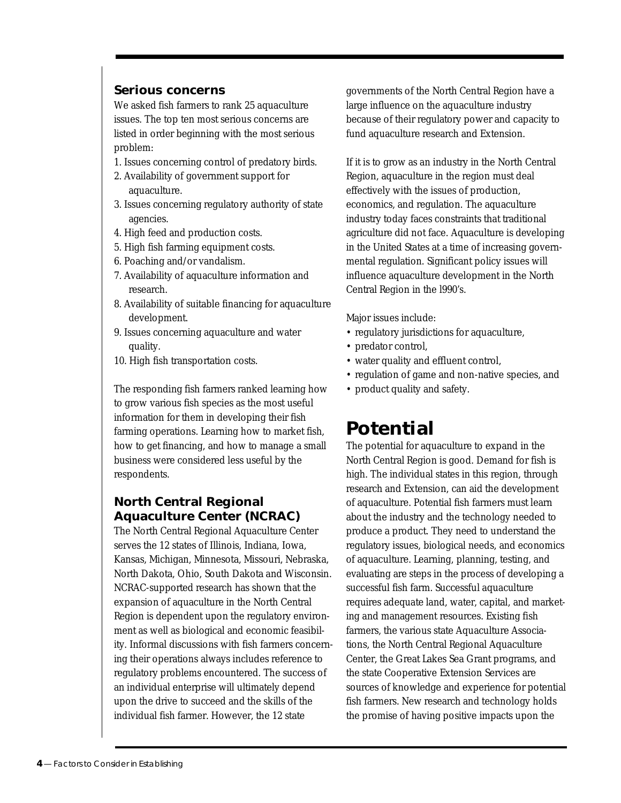#### **Serious concerns**

We asked fish farmers to rank 25 aquaculture issues. The top ten most serious concerns are listed in order beginning with the most serious problem:

- 1. Issues concerning control of predatory birds.
- 2. Availability of government support for aquaculture.
- 3. Issues concerning regulatory authority of state agencies.
- 4. High feed and production costs.
- 5. High fish farming equipment costs.
- 6. Poaching and/or vandalism.
- 7. Availability of aquaculture information and research.
- 8. Availability of suitable financing for aquaculture development.
- 9. Issues concerning aquaculture and water quality.
- 10. High fish transportation costs.

The responding fish farmers ranked learning how to grow various fish species as the most useful information for them in developing their fish farming operations. Learning how to market fish, how to get financing, and how to manage a small business were considered less useful by the respondents.

## **North Central Regional Aquaculture Center (NCRAC)**

The North Central Regional Aquaculture Center serves the 12 states of Illinois, Indiana, Iowa, Kansas, Michigan, Minnesota, Missouri, Nebraska, North Dakota, Ohio, South Dakota and Wisconsin. NCRAC-supported research has shown that the expansion of aquaculture in the North Central Region is dependent upon the regulatory environment as well as biological and economic feasibility. Informal discussions with fish farmers concerning their operations always includes reference to regulatory problems encountered. The success of an individual enterprise will ultimately depend upon the drive to succeed and the skills of the individual fish farmer. However, the 12 state

governments of the North Central Region have a large influence on the aquaculture industry because of their regulatory power and capacity to fund aquaculture research and Extension.

If it is to grow as an industry in the North Central Region, aquaculture in the region must deal effectively with the issues of production, economics, and regulation. The aquaculture industry today faces constraints that traditional agriculture did not face. Aquaculture is developing in the United States at a time of increasing governmental regulation. Significant policy issues will influence aquaculture development in the North Central Region in the l990's.

Major issues include:

- regulatory jurisdictions for aquaculture,
- predator control,
- water quality and effluent control,
- regulation of game and non-native species, and
- product quality and safety.

# **Potential**

The potential for aquaculture to expand in the North Central Region is good. Demand for fish is high. The individual states in this region, through research and Extension, can aid the development of aquaculture. Potential fish farmers must learn about the industry and the technology needed to produce a product. They need to understand the regulatory issues, biological needs, and economics of aquaculture. Learning, planning, testing, and evaluating are steps in the process of developing a successful fish farm. Successful aquaculture requires adequate land, water, capital, and marketing and management resources. Existing fish farmers, the various state Aquaculture Associations, the North Central Regional Aquaculture Center, the Great Lakes Sea Grant programs, and the state Cooperative Extension Services are sources of knowledge and experience for potential fish farmers. New research and technology holds the promise of having positive impacts upon the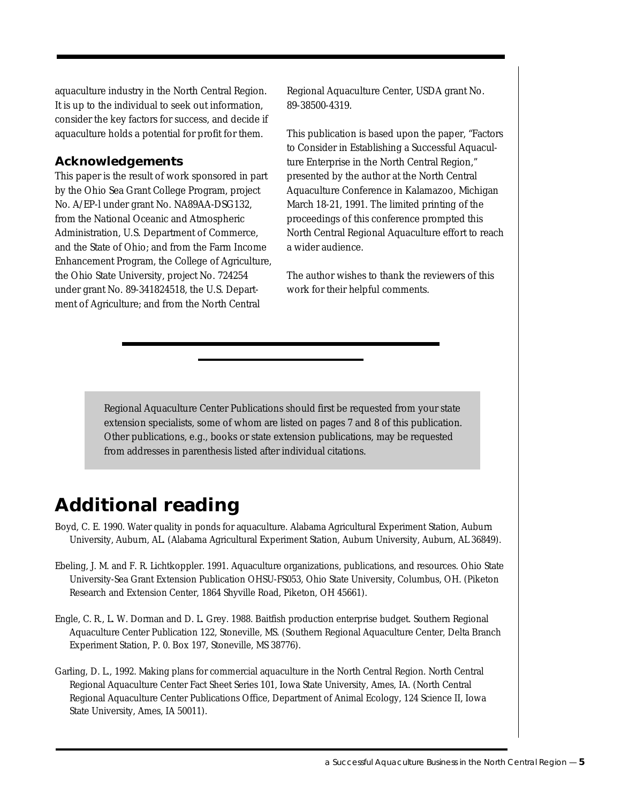aquaculture industry in the North Central Region. It is up to the individual to seek out information, consider the key factors for success, and decide if aquaculture holds a potential for profit for them.

## **Acknowledgements**

This paper is the result of work sponsored in part by the Ohio Sea Grant College Program, project No. A/EP-l under grant No. NA89AA-DSG132, from the National Oceanic and Atmospheric Administration, U.S. Department of Commerce, and the State of Ohio; and from the Farm Income Enhancement Program, the College of Agriculture, the Ohio State University, project No. 724254 under grant No. 89-341824518, the U.S. Department of Agriculture; and from the North Central

Regional Aquaculture Center, USDA grant No. 89-38500-4319.

This publication is based upon the paper, "Factors to Consider in Establishing a Successful Aquaculture Enterprise in the North Central Region," presented by the author at the North Central Aquaculture Conference in Kalamazoo, Michigan March 18-21, 1991. The limited printing of the proceedings of this conference prompted this North Central Regional Aquaculture effort to reach a wider audience.

The author wishes to thank the reviewers of this work for their helpful comments.

Regional Aquaculture Center Publications should first be requested from your state extension specialists, some of whom are listed on pages 7 and 8 of this publication. Other publications, e.g., books or state extension publications, may be requested from addresses in parenthesis listed after individual citations.

# **Additional reading**

- Boyd, C. E. 1990. Water quality in ponds for aquaculture. Alabama Agricultural Experiment Station, Auburn University, Auburn, AL. (Alabama Agricultural Experiment Station, Auburn University, Auburn, AL 36849).
- Ebeling, J. M. and F. R. Lichtkoppler. 1991. Aquaculture organizations, publications, and resources. Ohio State University-Sea Grant Extension Publication OHSU-FS053, Ohio State University, Columbus, OH. (Piketon Research and Extension Center, 1864 Shyville Road, Piketon, OH 45661).
- Engle, C. R., L. W. Dorman and D. L. Grey. 1988. Baitfish production enterprise budget. Southern Regional Aquaculture Center Publication 122, Stoneville, MS. (Southern Regional Aquaculture Center, Delta Branch Experiment Station, P. 0. Box 197, Stoneville, MS 38776).
- Garling, D. L., 1992. Making plans for commercial aquaculture in the North Central Region. North Central Regional Aquaculture Center Fact Sheet Series 101, Iowa State University, Ames, IA. (North Central Regional Aquaculture Center Publications Office, Department of Animal Ecology, 124 Science II, Iowa State University, Ames, IA 50011).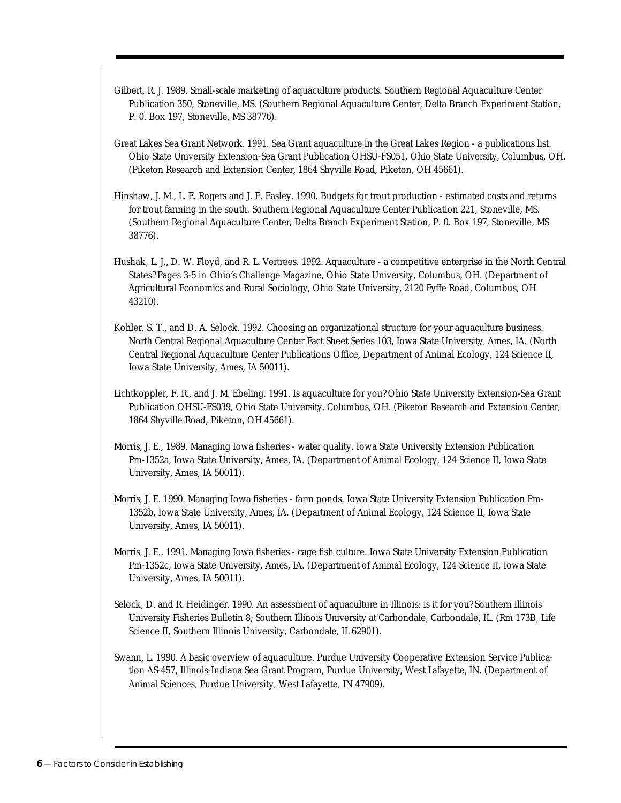- Gilbert, R. J. 1989. Small-scale marketing of aquaculture products. Southern Regional Aquaculture Center Publication 350, Stoneville, MS. (Southern Regional Aquaculture Center, Delta Branch Experiment Station, P. 0. Box 197, Stoneville, MS 38776).
- Great Lakes Sea Grant Network. 1991. Sea Grant aquaculture in the Great Lakes Region a publications list. Ohio State University Extension-Sea Grant Publication OHSU-FS051, Ohio State University, Columbus, OH. (Piketon Research and Extension Center, 1864 Shyville Road, Piketon, OH 45661).
- Hinshaw, J. M., L. E. Rogers and J. E. Easley. 1990. Budgets for trout production estimated costs and returns for trout farming in the south. Southern Regional Aquaculture Center Publication 221, Stoneville, MS. (Southern Regional Aquaculture Center, Delta Branch Experiment Station, P. 0. Box 197, Stoneville, MS 38776).
- Hushak, L. J., D. W. Floyd, and R. L. Vertrees. 1992. Aquaculture a competitive enterprise in the North Central States? Pages 3-5 *in* Ohio's Challenge Magazine, Ohio State University, Columbus, OH. (Department of Agricultural Economics and Rural Sociology, Ohio State University, 2120 Fyffe Road, Columbus, OH 43210).
- Kohler, S. T., and D. A. Selock. 1992. Choosing an organizational structure for your aquaculture business. North Central Regional Aquaculture Center Fact Sheet Series 103, Iowa State University, Ames, IA. (North Central Regional Aquaculture Center Publications Office, Department of Animal Ecology, 124 Science II, Iowa State University, Ames, IA 50011).
- Lichtkoppler, F. R., and J. M. Ebeling. 1991. Is aquaculture for you? Ohio State University Extension-Sea Grant Publication OHSU-FS039, Ohio State University, Columbus, OH. (Piketon Research and Extension Center, 1864 Shyville Road, Piketon, OH 45661).
- Morris, J. E., 1989. Managing Iowa fisheries water quality. Iowa State University Extension Publication Pm-1352a, Iowa State University, Ames, IA. (Department of Animal Ecology, 124 Science II, Iowa State University, Ames, IA 50011).
- Morris, J. E. 1990. Managing Iowa fisheries farm ponds. Iowa State University Extension Publication Pm-1352b, Iowa State University, Ames, IA. (Department of Animal Ecology, 124 Science II, Iowa State University, Ames, IA 50011).
- Morris, J. E., 1991. Managing Iowa fisheries cage fish culture. Iowa State University Extension Publication Pm-1352c, Iowa State University, Ames, IA. (Department of Animal Ecology, 124 Science II, Iowa State University, Ames, IA 50011).
- Selock, D. and R. Heidinger. 1990. An assessment of aquaculture in Illinois: is it for you? Southern Illinois University Fisheries Bulletin 8, Southern Illinois University at Carbondale, Carbondale, IL. (Rm 173B, Life Science II, Southern Illinois University, Carbondale, IL 62901).
- Swann, L. 1990. A basic overview of aquaculture. Purdue University Cooperative Extension Service Publication AS-457, Illinois-Indiana Sea Grant Program, Purdue University, West Lafayette, IN. (Department of Animal Sciences, Purdue University, West Lafayette, IN 47909).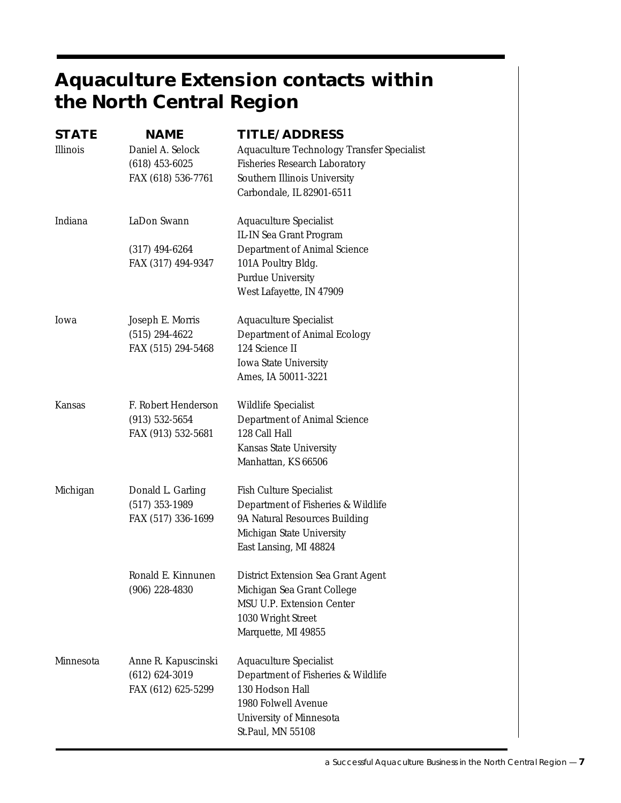# **Aquaculture Extension contacts within the North Central Region**

| <b>STATE</b> | <b>NAME</b>         | TITLE/ADDRESS                              |
|--------------|---------------------|--------------------------------------------|
| Illinois     | Daniel A. Selock    | Aquaculture Technology Transfer Specialist |
|              | $(618)$ 453-6025    | Fisheries Research Laboratory              |
|              | FAX (618) 536-7761  | Southern Illinois University               |
|              |                     | Carbondale, IL 82901-6511                  |
| Indiana      | LaDon Swann         | Aquaculture Specialist                     |
|              |                     | IL-IN Sea Grant Program                    |
|              | $(317)$ 494-6264    | Department of Animal Science               |
|              | FAX (317) 494-9347  | 101A Poultry Bldg.                         |
|              |                     | <b>Purdue University</b>                   |
|              |                     | West Lafayette, IN 47909                   |
| Iowa         | Joseph E. Morris    | <b>Aquaculture Specialist</b>              |
|              | $(515) 294 - 4622$  | Department of Animal Ecology               |
|              | FAX (515) 294-5468  | 124 Science II                             |
|              |                     | <b>Iowa State University</b>               |
|              |                     | Ames, IA 50011-3221                        |
| Kansas       | F. Robert Henderson | Wildlife Specialist                        |
|              | $(913) 532 - 5654$  | Department of Animal Science               |
|              | FAX (913) 532-5681  | 128 Call Hall                              |
|              |                     | Kansas State University                    |
|              |                     | Manhattan, KS 66506                        |
| Michigan     | Donald L. Garling   | <b>Fish Culture Specialist</b>             |
|              | $(517)$ 353-1989    | Department of Fisheries & Wildlife         |
|              | FAX (517) 336-1699  | 9A Natural Resources Building              |
|              |                     | Michigan State University                  |
|              |                     | East Lansing, MI 48824                     |
|              | Ronald E. Kinnunen  | District Extension Sea Grant Agent         |
|              | $(906)$ 228-4830    | Michigan Sea Grant College                 |
|              |                     | MSU U.P. Extension Center                  |
|              |                     | 1030 Wright Street                         |
|              |                     | Marquette, MI 49855                        |
| Minnesota    | Anne R. Kapuscinski | <b>Aquaculture Specialist</b>              |
|              | $(612) 624 - 3019$  | Department of Fisheries & Wildlife         |
|              | FAX (612) 625-5299  | 130 Hodson Hall                            |
|              |                     | 1980 Folwell Avenue                        |
|              |                     | University of Minnesota                    |
|              |                     | St.Paul, MN 55108                          |
|              |                     |                                            |